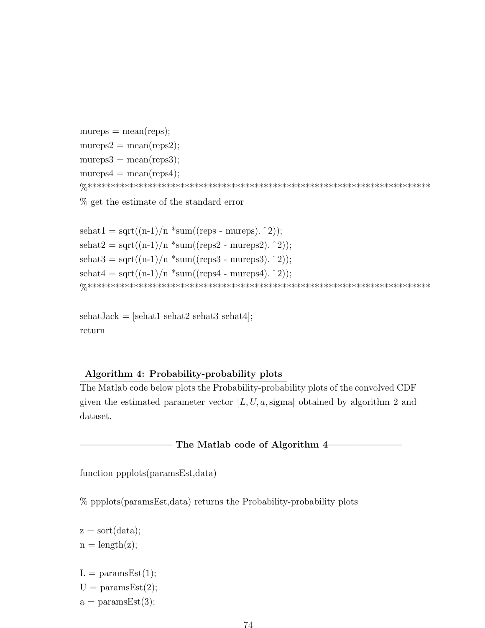```
mureps = mean(reps);mureps2 = mean(reps2);mureps3 = mean(reps3);mureps4 = mean(reps4);%**************************************************************************
```
% get the estimate of the standard error

```
sehat1 = sqrt((n-1)/n * sum((reps - mureps). ^2));sehat2 = sqrt((n-1)/n * sum((reps2 - mureps2).<sup>2</sup>);
sehat3 = sqrt((n-1)/n * sum((reps3 - mureps3). 2));sehat4 = \sqrt{\frac{m-1}{n} \cdot \text{sum}(\text{reps4 - mureps4}) \cdot 2};%**************************************************************************
```
 $sehatJack = [sehat1 sehat2 sehat3 sehat4];$ return

## Algorithm 4: Probability-probability plots

The Matlab code below plots the Probability-probability plots of the convolved CDF given the estimated parameter vector  $[L, U, a, sigma]$  obtained by algorithm 2 and dataset.

The Matlab code of Algorithm 4

function ppplots(paramsEst,data)

% ppplots(paramsEst,data) returns the Probability-probability plots

- $z = sort(data);$  $n = length(z);$
- $L = \text{paramsEst}(1);$
- $U = \text{paramsEst}(2);$
- $a = \text{paramsEst}(3);$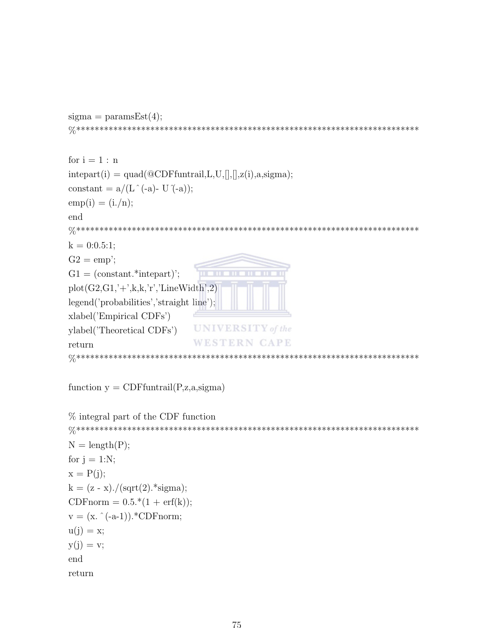```
for i = 1 : ninterpart(i) = quad(@CDFfuntraid, L, U,[],[],z(i),a,sigma);constant = a/(L \hat{\ } (-a)- U \hat{\ } (-a));
emp(i) = (i./n);end
k = 0:0.5:1;G2 = emp;
G1 = (constant.*interpart)TITLE
plot(G2,G1,'+';k,k,'r';LineWidth',2)legend('probabilities','straight line');
xlabel('Empirical CDFs')
                  UNIVERSITY of the
ylabel('Theoretical CDFs')
                  WESTERN CAPE
return
```

```
function y = \text{CDFfuntrail}(P, z, a, sigma)
```
 $sigma = \text{paramsEst}(4);$ 

```
\% integral part of the CDF function
N = length(P);for j = 1:N;
x = P(i):
k = (z - x)./(sqrt(2).*sigma);
CDFnorm = 0.5.*(1 + erf(k));
v = (x, \hat{(-a-1)}). *CDF norm;
u(j) = x;y(j) = v;end
return
```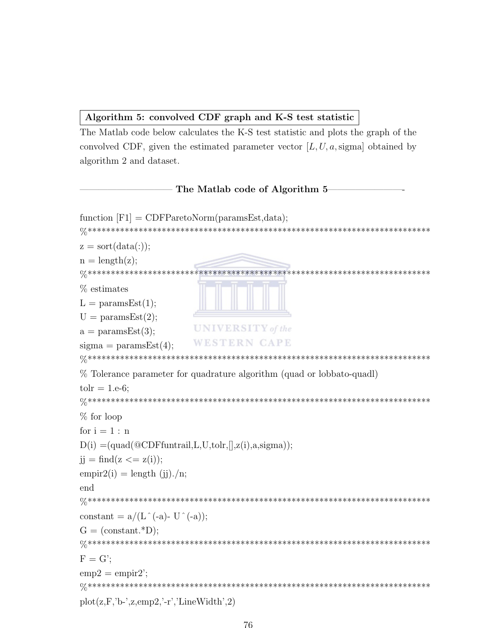## Algorithm 5: convolved CDF graph and K-S test statistic

The Matlab code below calculates the K-S test statistic and plots the graph of the convolved CDF, given the estimated parameter vector  $[L, U, a, sigma]$  obtained by algorithm 2 and dataset.

## The Matlab code of Algorithm 5

```
function [F1] = CDFParetoNorm(paramsEst, data);z = sort(data(:));n = length(z);% estimates
L = \text{paramsEst}(1);U = \text{paramsEst}(2);UNIVERSITY of the
a = \text{paramsEst}(3);WESTERN CAPE
sigma = paramsEst(4);% Tolerance parameter for quadrature algorithm (quad or lobbato-quadl)
tolr = 1.e-6;
% for loop
for i = 1 : nD(i) = (quad(\text{@CDFfuntrail}, L, U, tolr,[], z(i), a, sigma));j = \text{find}(z \leq z(i));empir2(i) = length (ii)./n;end
\frac{1}{\sqrt{1}}constant = a/(L \hat{-}(-a) - U \hat{-}(-a));
G = (constant.*D);\frac{1}{\sqrt{1}}F = G':
emp2 = empir2;
plot(z, F, 'b-, z, emp2, '-r', 'LineWidth', 2)
```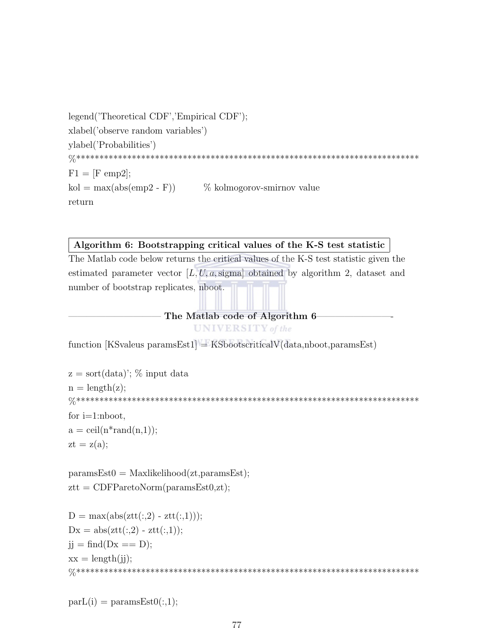```
legend('Theoretical CDF','Empirical CDF');
xlabel('observe random variables')
ylabel('Probabilities')
F1 = [F \text{ emp2}];\text{kol} = \max(\text{abs}(\text{emp2 - F}))\% kolmogorov-smirnov value
return
```
## Algorithm 6: Bootstrapping critical values of the K-S test statistic

The Matlab code below returns the critical values of the K-S test statistic given the estimated parameter vector  $[L, U, a, sigma]$  obtained by algorithm 2, dataset and number of bootstrap replicates, nboot.

> The Matlab code of Algorithm 6 **UNIVERSITY** of the

function [KSvaleus paramsEst1] = KSbootscriticalV( $data, nboot, paramsEst$ )

```
z = sort(data); % input data
n = length(z);for i=1:nboot,
a = \operatorname{ceil}(n^* \operatorname{rand}(n,1));zt = z(a);
```
 $paramsEst0 = Maxlikelihood(zt,paramsEst);$  $ztt = CDFParetoNorm(paramsEst0, zt);$ 

```
D = \max(\text{abs}(\text{ztt}(:,2) - \text{ztt}(:,1)));Dx = abs(ztt(:,2) - ztt(:,1));jj = \text{find}(Dx == D);xx = length(i);
```
 $parL(i) = paramsEst0(:,1);$